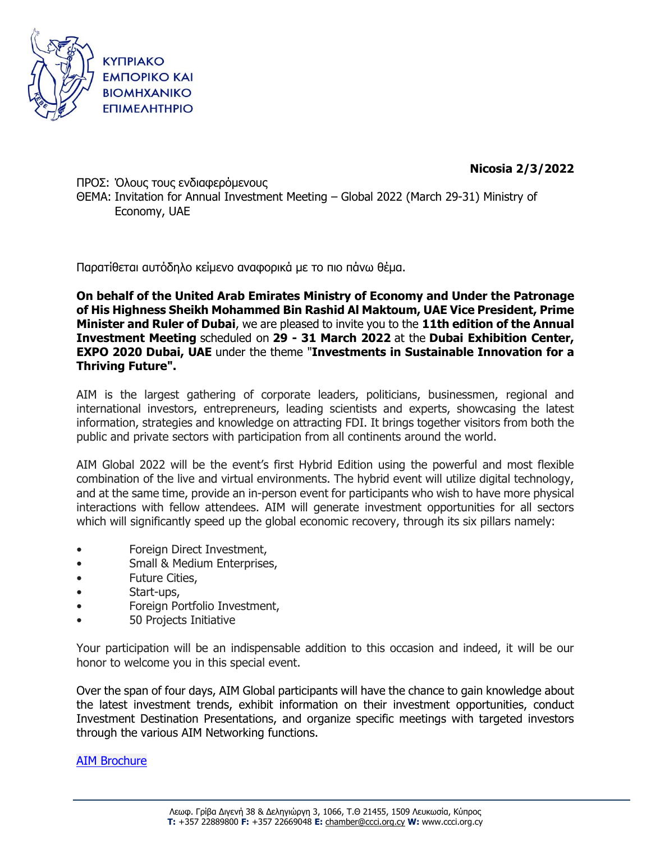

**Nicosia 2/3/2022**

ΠΡΟΣ: Όλους τους ενδιαφερόμενους ΘΕΜΑ: Invitation for Annual Investment Meeting – Global 2022 (March 29-31) Ministry of Economy, UAE

Παρατίθεται αυτόδηλο κείμενο αναφορικά με το πιο πάνω θέμα.

**On behalf of the United Arab Emirates Ministry of Economy and Under the Patronage of His Highness Sheikh Mohammed Bin Rashid Al Maktoum, UAE Vice President, Prime Minister and Ruler of Dubai**, we are pleased to invite you to the **11th edition of the Annual Investment Meeting** scheduled on **29 - 31 March 2022** at the **Dubai Exhibition Center, EXPO 2020 Dubai, UAE** under the theme "**Investments in Sustainable Innovation for a Thriving Future".**

AIM is the largest gathering of corporate leaders, politicians, businessmen, regional and international investors, entrepreneurs, leading scientists and experts, showcasing the latest information, strategies and knowledge on attracting FDI. It brings together visitors from both the public and private sectors with participation from all continents around the world.

AIM Global 2022 will be the event's first Hybrid Edition using the powerful and most flexible combination of the live and virtual environments. The hybrid event will utilize digital technology, and at the same time, provide an in-person event for participants who wish to have more physical interactions with fellow attendees. AIM will generate investment opportunities for all sectors which will significantly speed up the global economic recovery, through its six pillars namely:

- Foreign Direct Investment,
- Small & Medium Enterprises,
- Future Cities,
- Start-ups,
- Foreign Portfolio Investment,
- 50 Projects Initiative

Your participation will be an indispensable addition to this occasion and indeed, it will be our honor to welcome you in this special event.

Over the span of four days, AIM Global participants will have the chance to gain knowledge about the latest investment trends, exhibit information on their investment opportunities, conduct Investment Destination Presentations, and organize specific meetings with targeted investors through the various AIM Networking functions.

## AIM [Brochure](https://aimcongressuae-my.sharepoint.com/:b:/g/personal/kinga_krzymowska_aimcongress_com/EU5YQKUSgnlGivpulYZbisYBbOA1RpKaR2DpCC7JMRRJ4g?e=8tTQOj)